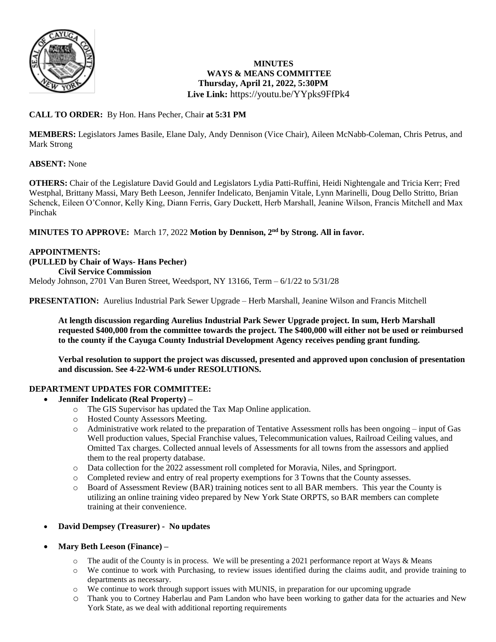

# **MINUTES WAYS & MEANS COMMITTEE Thursday, April 21, 2022, 5:30PM Live Link:** <https://youtu.be/YYpks9FfPk4>

# **CALL TO ORDER:** By Hon. Hans Pecher, Chair **at 5:31 PM**

**MEMBERS:** Legislators James Basile, Elane Daly, Andy Dennison (Vice Chair), Aileen McNabb-Coleman, Chris Petrus, and Mark Strong

# **ABSENT:** None

**OTHERS:** Chair of the Legislature David Gould and Legislators Lydia Patti-Ruffini, Heidi Nightengale and Tricia Kerr; Fred Westphal, Brittany Massi, Mary Beth Leeson, Jennifer Indelicato, Benjamin Vitale, Lynn Marinelli, Doug Dello Stritto, Brian Schenck, Eileen O'Connor, Kelly King, Diann Ferris, Gary Duckett, Herb Marshall, Jeanine Wilson, Francis Mitchell and Max Pinchak

**MINUTES TO APPROVE:** March 17, 2022 **Motion by Dennison, 2nd by Strong. All in favor.**

### **APPOINTMENTS: (PULLED by Chair of Ways- Hans Pecher) Civil Service Commission**  Melody Johnson, 2701 Van Buren Street, Weedsport, NY 13166, Term – 6/1/22 to 5/31/28

**PRESENTATION:** Aurelius Industrial Park Sewer Upgrade – Herb Marshall, Jeanine Wilson and Francis Mitchell

**At length discussion regarding Aurelius Industrial Park Sewer Upgrade project. In sum, Herb Marshall requested \$400,000 from the committee towards the project. The \$400,000 will either not be used or reimbursed to the county if the Cayuga County Industrial Development Agency receives pending grant funding.** 

**Verbal resolution to support the project was discussed, presented and approved upon conclusion of presentation and discussion. See 4-22-WM-6 under RESOLUTIONS.**

# **DEPARTMENT UPDATES FOR COMMITTEE:**

- **Jennifer Indelicato (Real Property) –**
	- o The GIS Supervisor has updated the Tax Map Online application.
	- o Hosted County Assessors Meeting.
	- o Administrative work related to the preparation of Tentative Assessment rolls has been ongoing input of Gas Well production values, Special Franchise values, Telecommunication values, Railroad Ceiling values, and Omitted Tax charges. Collected annual levels of Assessments for all towns from the assessors and applied them to the real property database.
	- o Data collection for the 2022 assessment roll completed for Moravia, Niles, and Springport.
	- o Completed review and entry of real property exemptions for 3 Towns that the County assesses.
	- o Board of Assessment Review (BAR) training notices sent to all BAR members. This year the County is utilizing an online training video prepared by New York State ORPTS, so BAR members can complete training at their convenience.
- **David Dempsey (Treasurer) - No updates**
- **Mary Beth Leeson (Finance) –**
	- $\circ$  The audit of the County is in process. We will be presenting a 2021 performance report at Ways & Means
	- o We continue to work with Purchasing, to review issues identified during the claims audit, and provide training to departments as necessary.
	- o We continue to work through support issues with MUNIS, in preparation for our upcoming upgrade
	- o Thank you to Cortney Haberlau and Pam Landon who have been working to gather data for the actuaries and New York State, as we deal with additional reporting requirements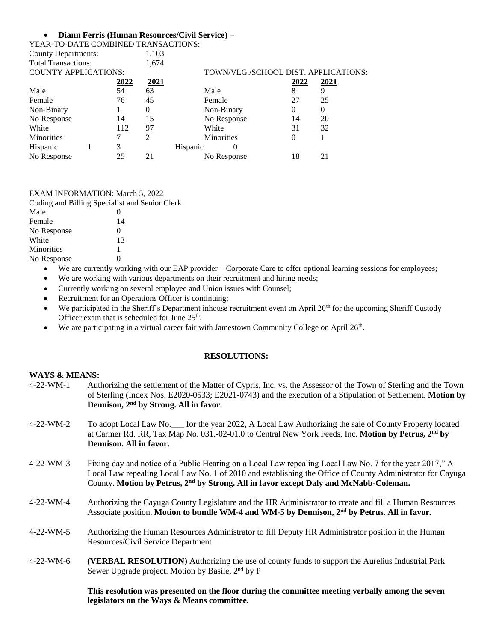### **Diann Ferris (Human Resources/Civil Service) –**

| YEAR-TO-DATE COMBINED TRANSACTIONS: |   |      |             |                                      |      |             |
|-------------------------------------|---|------|-------------|--------------------------------------|------|-------------|
| <b>County Departments:</b>          |   |      | 1,103       |                                      |      |             |
| <b>Total Transactions:</b>          |   |      | 1,674       |                                      |      |             |
| <b>COUNTY APPLICATIONS:</b>         |   |      |             | TOWN/VLG./SCHOOL DIST. APPLICATIONS: |      |             |
|                                     |   | 2022 | <u>2021</u> |                                      | 2022 | <u>2021</u> |
| Male                                |   | 54   | 63          | Male                                 | 8    |             |
| Female                              |   | 76   | 45          | Female                               | 27   | 25          |
| Non-Binary                          |   |      | 0           | Non-Binary                           | 0    |             |
| No Response                         |   | 14   | 15          | No Response                          | 14   | 20          |
| White                               |   | 112  | 97          | White                                | 31   | 32          |
| <b>Minorities</b>                   |   |      | 2           | <b>Minorities</b>                    | 0    |             |
| Hispanic                            | 3 |      |             | Hispanic<br>0                        |      |             |
| No Response                         |   | 25   | 21          | No Response                          | 18   | 21          |
|                                     |   |      |             |                                      |      |             |

#### EXAM INFORMATION: March 5, 2022 ialist and Senior Clerk

|             | Coding and Billing Specialist and Senior |
|-------------|------------------------------------------|
| Male        |                                          |
| Female      | 14                                       |
| No Response | $\mathbf{0}$                             |
| White       | 13                                       |
| Minorities  |                                          |
| No Response | 0                                        |
|             |                                          |

- We are currently working with our EAP provider Corporate Care to offer optional learning sessions for employees;
- We are working with various departments on their recruitment and hiring needs;
- Currently working on several employee and Union issues with Counsel;
- Recruitment for an Operations Officer is continuing;
- We participated in the Sheriff's Department inhouse recruitment event on April 20<sup>th</sup> for the upcoming Sheriff Custody Officer exam that is scheduled for June  $25<sup>th</sup>$ .
- $\bullet$  We are participating in a virtual career fair with Jamestown Community College on April 26<sup>th</sup>.

### **RESOLUTIONS:**

### **WAYS & MEANS:**

- 4-22-WM-1 Authorizing the settlement of the Matter of Cypris, Inc. vs. the Assessor of the Town of Sterling and the Town of Sterling (Index Nos. E2020-0533; E2021-0743) and the execution of a Stipulation of Settlement. **Motion by Dennison, 2nd by Strong. All in favor.**
- 4-22-WM-2 To adopt Local Law No.\_\_\_ for the year 2022, A Local Law Authorizing the sale of County Property located at Carmer Rd. RR, Tax Map No. 031.-02-01.0 to Central New York Feeds, Inc. **Motion by Petrus, 2nd by Dennison. All in favor.**
- 4-22-WM-3 Fixing day and notice of a Public Hearing on a Local Law repealing Local Law No. 7 for the year 2017," A Local Law repealing Local Law No. 1 of 2010 and establishing the Office of County Administrator for Cayuga County. **Motion by Petrus, 2nd by Strong. All in favor except Daly and McNabb-Coleman.**
- 4-22-WM-4 Authorizing the Cayuga County Legislature and the HR Administrator to create and fill a Human Resources Associate position. **Motion to bundle WM-4 and WM-5 by Dennison, 2nd by Petrus. All in favor.**
- 4-22-WM-5 Authorizing the Human Resources Administrator to fill Deputy HR Administrator position in the Human Resources/Civil Service Department
- 4-22-WM-6 **(VERBAL RESOLUTION)** Authorizing the use of county funds to support the Aurelius Industrial Park Sewer Upgrade project. Motion by Basile, 2nd by P

**This resolution was presented on the floor during the committee meeting verbally among the seven legislators on the Ways & Means committee.**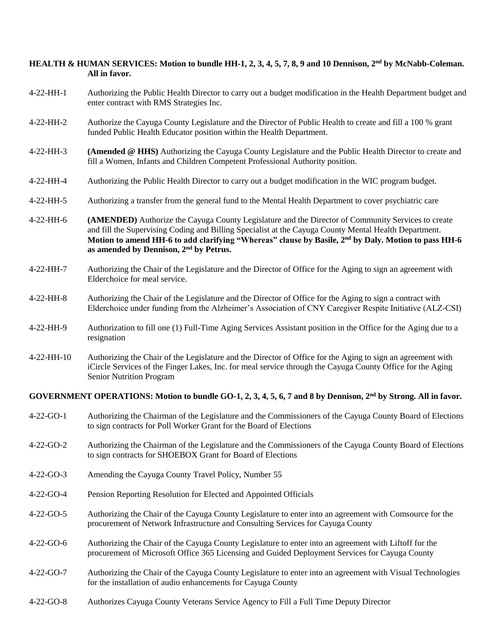## **HEALTH & HUMAN SERVICES: Motion to bundle HH-1, 2, 3, 4, 5, 7, 8, 9 and 10 Dennison, 2nd by McNabb-Coleman. All in favor.**

- 4-22-HH-1 Authorizing the Public Health Director to carry out a budget modification in the Health Department budget and enter contract with RMS Strategies Inc.
- 4-22-HH-2 Authorize the Cayuga County Legislature and the Director of Public Health to create and fill a 100 % grant funded Public Health Educator position within the Health Department.
- 4-22-HH-3 **(Amended @ HHS)** Authorizing the Cayuga County Legislature and the Public Health Director to create and fill a Women, Infants and Children Competent Professional Authority position.
- 4-22-HH-4 Authorizing the Public Health Director to carry out a budget modification in the WIC program budget.
- 4-22-HH-5 Authorizing a transfer from the general fund to the Mental Health Department to cover psychiatric care
- 4-22-HH-6 **(AMENDED)** Authorize the Cayuga County Legislature and the Director of Community Services to create and fill the Supervising Coding and Billing Specialist at the Cayuga County Mental Health Department. **Motion to amend HH-6 to add clarifying "Whereas" clause by Basile, 2nd by Daly. Motion to pass HH-6 as amended by Dennison, 2nd by Petrus.**
- 4-22-HH-7 Authorizing the Chair of the Legislature and the Director of Office for the Aging to sign an agreement with Elderchoice for meal service.
- 4-22-HH-8 Authorizing the Chair of the Legislature and the Director of Office for the Aging to sign a contract with Elderchoice under funding from the Alzheimer's Association of CNY Caregiver Respite Initiative (ALZ-CSI)
- 4-22-HH-9 Authorization to fill one (1) Full-Time Aging Services Assistant position in the Office for the Aging due to a resignation
- 4-22-HH-10 Authorizing the Chair of the Legislature and the Director of Office for the Aging to sign an agreement with iCircle Services of the Finger Lakes, Inc. for meal service through the Cayuga County Office for the Aging Senior Nutrition Program

## **GOVERNMENT OPERATIONS: Motion to bundle GO-1, 2, 3, 4, 5, 6, 7 and 8 by Dennison, 2nd by Strong. All in favor.**

- 4-22-GO-1 Authorizing the Chairman of the Legislature and the Commissioners of the Cayuga County Board of Elections to sign contracts for Poll Worker Grant for the Board of Elections
- 4-22-GO-2 Authorizing the Chairman of the Legislature and the Commissioners of the Cayuga County Board of Elections to sign contracts for SHOEBOX Grant for Board of Elections
- 4-22-GO-3 Amending the Cayuga County Travel Policy, Number 55
- 4-22-GO-4 Pension Reporting Resolution for Elected and Appointed Officials
- 4-22-GO-5 Authorizing the Chair of the Cayuga County Legislature to enter into an agreement with Comsource for the procurement of Network Infrastructure and Consulting Services for Cayuga County
- 4-22-GO-6 Authorizing the Chair of the Cayuga County Legislature to enter into an agreement with Liftoff for the procurement of Microsoft Office 365 Licensing and Guided Deployment Services for Cayuga County
- 4-22-GO-7 Authorizing the Chair of the Cayuga County Legislature to enter into an agreement with Visual Technologies for the installation of audio enhancements for Cayuga County
- 4-22-GO-8 Authorizes Cayuga County Veterans Service Agency to Fill a Full Time Deputy Director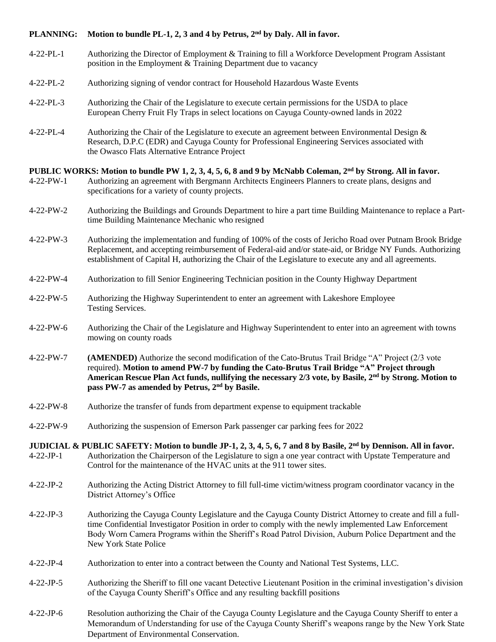# **PLANNING: Motion to bundle PL-1, 2, 3 and 4 by Petrus, 2nd by Daly. All in favor.**

- 4-22-PL-1 Authorizing the Director of Employment & Training to fill a Workforce Development Program Assistant position in the Employment & Training Department due to vacancy
- 4-22-PL-2 Authorizing signing of vendor contract for Household Hazardous Waste Events
- 4-22-PL-3 Authorizing the Chair of the Legislature to execute certain permissions for the USDA to place European Cherry Fruit Fly Traps in select locations on Cayuga County-owned lands in 2022
- 4-22-PL-4 Authorizing the Chair of the Legislature to execute an agreement between Environmental Design & Research, D.P.C (EDR) and Cayuga County for Professional Engineering Services associated with the Owasco Flats Alternative Entrance Project

## **PUBLIC WORKS: Motion to bundle PW 1, 2, 3, 4, 5, 6, 8 and 9 by McNabb Coleman, 2nd by Strong. All in favor.**

- 4-22-PW-1 Authorizing an agreement with Bergmann Architects Engineers Planners to create plans, designs and specifications for a variety of county projects.
- 4-22-PW-2 Authorizing the Buildings and Grounds Department to hire a part time Building Maintenance to replace a Parttime Building Maintenance Mechanic who resigned
- 4-22-PW-3 Authorizing the implementation and funding of 100% of the costs of Jericho Road over Putnam Brook Bridge Replacement, and accepting reimbursement of Federal-aid and/or state-aid, or Bridge NY Funds. Authorizing establishment of Capital H, authorizing the Chair of the Legislature to execute any and all agreements.
- 4-22-PW-4 Authorization to fill Senior Engineering Technician position in the County Highway Department
- 4-22-PW-5 Authorizing the Highway Superintendent to enter an agreement with Lakeshore Employee Testing Services.
- 4-22-PW-6 Authorizing the Chair of the Legislature and Highway Superintendent to enter into an agreement with towns mowing on county roads
- 4-22-PW-7 **(AMENDED)** Authorize the second modification of the Cato-Brutus Trail Bridge "A" Project (2/3 vote required). **Motion to amend PW-7 by funding the Cato-Brutus Trail Bridge "A" Project through American Rescue Plan Act funds, nullifying the necessary 2/3 vote, by Basile, 2nd by Strong. Motion to pass PW-7 as amended by Petrus, 2nd by Basile.**
- 4-22-PW-8 Authorize the transfer of funds from department expense to equipment trackable
- 4-22-PW-9 Authorizing the suspension of Emerson Park passenger car parking fees for 2022
- **JUDICIAL & PUBLIC SAFETY: Motion to bundle JP-1, 2, 3, 4, 5, 6, 7 and 8 by Basile, 2nd by Dennison. All in favor.** 4-22-JP-1 Authorization the Chairperson of the Legislature to sign a one year contract with Upstate Temperature and Control for the maintenance of the HVAC units at the 911 tower sites.
- 4-22-JP-2 Authorizing the Acting District Attorney to fill full-time victim/witness program coordinator vacancy in the District Attorney's Office
- 4-22-JP-3 Authorizing the Cayuga County Legislature and the Cayuga County District Attorney to create and fill a fulltime Confidential Investigator Position in order to comply with the newly implemented Law Enforcement Body Worn Camera Programs within the Sheriff's Road Patrol Division, Auburn Police Department and the New York State Police
- 4-22-JP-4 Authorization to enter into a contract between the County and National Test Systems, LLC.
- 4-22-JP-5 Authorizing the Sheriff to fill one vacant Detective Lieutenant Position in the criminal investigation's division of the Cayuga County Sheriff's Office and any resulting backfill positions
- 4-22-JP-6 Resolution authorizing the Chair of the Cayuga County Legislature and the Cayuga County Sheriff to enter a Memorandum of Understanding for use of the Cayuga County Sheriff's weapons range by the New York State Department of Environmental Conservation.